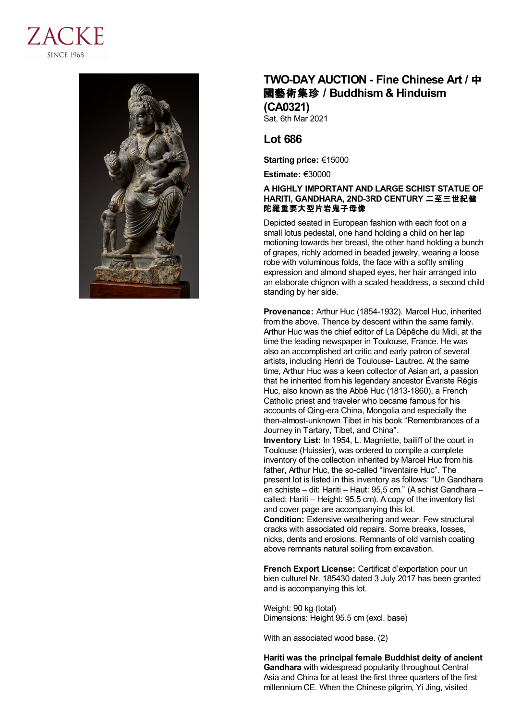



## **TWO-DAY AUCTION - Fine Chinese Art /** 中 國藝術集珍 **/Buddhism & Hinduism (CA0321)**

Sat, 6th Mar 2021

## **Lot 686**

**Starting price:** €15000

**Estimate:** €30000

## **A HIGHLY IMPORTANT AND LARGE SCHIST STATUE OF HARITI, GANDHARA, 2ND-3RD CENTURY** 二至三世紀健 陀羅重要大型片岩鬼子母像

Depicted seated in European fashion with each foot on a small lotus pedestal, one hand holding a child on her lap motioning towards her breast, the other hand holding a bunch of grapes, richly adorned in beaded jewelry, wearing a loose robe with voluminous folds, the face with a softly smiling expression and almond shaped eyes, her hair arranged into an elaborate chignon with a scaled headdress, a second child standing by her side.

**Provenance:** Arthur Huc (1854-1932). Marcel Huc, inherited from the above. Thence by descent within the same family. Arthur Huc was the chief editor of La Dépêche du Midi, at the time the leading newspaper in Toulouse, France. He was also an accomplished art critic and early patron of several artists, including Henri de Toulouse- Lautrec. At the same time, Arthur Huc was a keen collector of Asian art, a passion that he inherited from his legendary ancestor Évariste Régis Huc, also known as the Abbé Huc (1813-1860), a French Catholic priest and traveler who became famous for his accounts of Qing-era China, Mongolia and especially the then-almost-unknown Tibet in his book "Remembrances of a Journey in Tartary, Tibet, and China".

**Inventory List:** In 1954, L. Magniette, bailiff of the court in Toulouse (Huissier), was ordered to compile a complete inventory of the collection inherited by Marcel Huc from his father, Arthur Huc, the so-called "Inventaire Huc". The present lot is listed in this inventory as follows: "Un Gandhara en schiste – dit: Hariti – Haut: 95,5 cm." (A schist Gandhara – called: Hariti – Height: 95.5 cm). A copy of the inventory list and cover page are accompanying this lot. **Condition:** Extensive weathering and wear. Few structural

cracks with associated old repairs. Some breaks, losses, nicks, dents and erosions. Remnants of old varnish coating above remnants natural soiling from excavation.

**French Export License:** Certificat d'exportation pour un bien culturel Nr. 185430 dated 3 July 2017 has been granted and is accompanying this lot.

Weight: 90 kg (total) Dimensions: Height 95.5 cm (excl. base)

With an associated wood base. (2)

**Hariti was the principal female Buddhist deity of ancient Gandhara** with widespread popularity throughout Central Asia and China for at least the first three quarters of the first millennium CE. When the Chinese pilgrim, Yi Jing, visited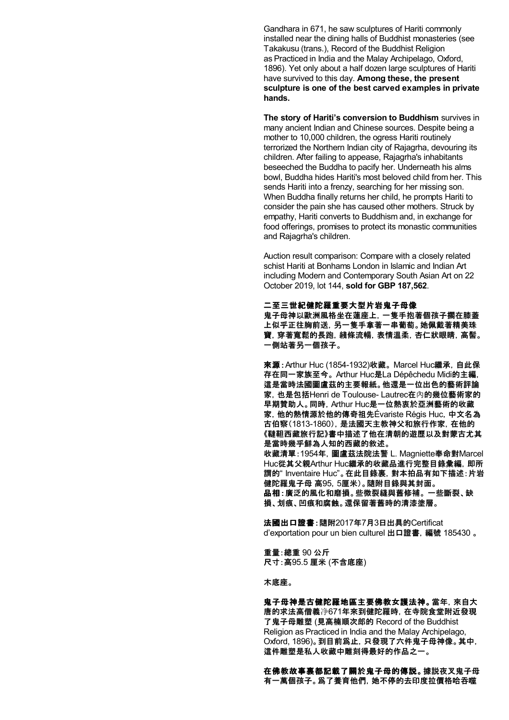Gandhara in 671, he saw sculptures of Hariti commonly installed near the dining halls of Buddhist monasteries (see Takakusu (trans.), Record of the Buddhist Religion as Practiced in India and the Malay Archipelago, Oxford, 1896). Yet only about a half dozen large sculptures of Hariti have survived to this day. **Among these, the present sculpture is one of the best carved examples in private hands.**

**The story of Hariti's conversion to Buddhism** survives in many ancient Indian and Chinese sources. Despite being a mother to 10,000 children, the ogress Hariti routinely terrorized the Northern Indian city of Rajagrha, devouring its children. After failing to appease, Rajagrha's inhabitants beseeched the Buddha to pacify her. Underneath his alms bowl, Buddha hides Hariti's most beloved child from her. This sends Hariti into a frenzy, searching for her missing son. When Buddha finally returns her child, he prompts Hariti to consider the pain she has caused other mothers. Struck by empathy, Hariti converts to Buddhism and, in exchange for food offerings, promises to protect its monastic communities and Rajagrha's children.

Auction result comparison: Compare with a closely related schist Hariti at Bonhams London in Islamic and Indian Art including Modern and Contemporary South Asian Art on 22 October 2019, lot 144, **sold for GBP 187,562**.

## 二至三世紀健陀羅重要大型片岩鬼子母像

鬼子母神以歐洲風格坐在蓮座上,一隻手抱著個孩子擱在膝蓋 上似乎正往胸前送,另一隻手拿著一串葡萄。她佩戴著精美珠 寶,穿著寬鬆的長跑,綫條流暢,表情溫柔,杏仁狀眼睛,高髻。 一側站著另一個孩子。

來源:Arthur Huc (1854-1932)收藏。 Marcel Huc繼承,自此保 存在同一家族至今。 Arthur Huc是La Dépêchedu Midi的主編, 這是當時法國圖盧茲的主要報紙。他還是一位出色的藝術評論 家,也是包括Henri de Toulouse- Lautrec在內的幾位藝術家的 早期贊助人。同時,Arthur Huc是一位熱衷於亞洲藝術的收藏 家,他的熱情源於他的傳奇祖先Évariste Régis Huc,中文名為 古伯察(1813-1860),是法國天主教神父和旅行作家,在他的 《韃靼西藏旅行記》書中描述了他在清朝的遊歷以及對蒙古尤其 是當時幾乎鮮為人知的西藏的敘述。 收藏清單:1954年,圖盧茲法院法警 L. Magniette奉命對Marcel Huc從其父親Arthur Huc繼承的收藏品進行完整目錄彙編,即所 謂的" Inventaire Huc"。在此目錄裏,對本拍品有如下描述:片岩 健陀羅鬼子母 高95,5厘米)。隨附目錄與其封面。 品相:廣泛的風化和磨損。些微裂縫與舊修補。 一些斷裂、缺 損、划痕、凹痕和腐蝕。還保留著舊時的清漆塗層。

法國出口證書:隨附2017年7月3日出具的Certificat d'exportation pour un bien culturel 出口證書,編號 185430 。

重量:總重 90 公斤 尺寸:高95.5 厘米 (不含底座)

木底座。

鬼子母神是古健陀羅地區主要佛教女護法神。當年,來自大 唐的求法高僧義净671年來到健陀羅時,在寺院食堂附近發現 了鬼子母雕塑 (見高楠順次郎的 Record of the Buddhist Religion as Practiced in India and the Malay Archipelago, Oxford, 1896)。到目前爲止,只發現了六件鬼子母神像。其中, 這件雕塑是私人收藏中雕刻得最好的作品之一。

在佛教故事裏都記載了關於鬼子母的傳説。據説夜叉鬼子母 有一萬個孩子。爲了養育他們,她不停的去印度拉價格哈吞噬